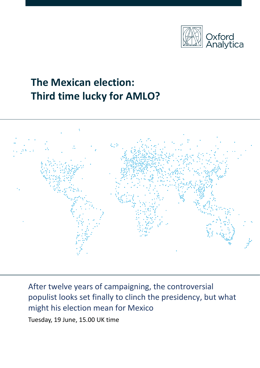

# **The Mexican election: Third time lucky for AMLO?**



After twelve years of campaigning, the controversial populist looks set finally to clinch the presidency, but what might his election mean for Mexico

Tuesday, 19 June, 15.00 UK time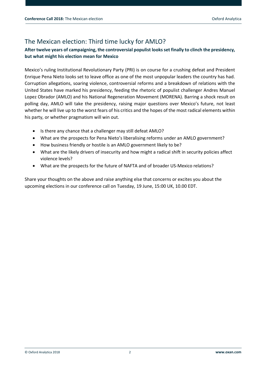## The Mexican election: Third time lucky for AMLO?

## **After twelve years of campaigning, the controversial populist looks set finally to clinch the presidency, but what might his election mean for Mexico**

Mexico's ruling Institutional Revolutionary Party (PRI) is on course for a crushing defeat and President Enrique Pena Nieto looks set to leave office as one of the most unpopular leaders the country has had. Corruption allegations, soaring violence, controversial reforms and a breakdown of relations with the United States have marked his presidency, feeding the rhetoric of populist challenger Andres Manuel Lopez Obrador (AMLO) and his National Regeneration Movement (MORENA). Barring a shock result on polling day, AMLO will take the presidency, raising major questions over Mexico's future, not least whether he will live up to the worst fears of his critics and the hopes of the most radical elements within his party, or whether pragmatism will win out.

- Is there any chance that a challenger may still defeat AMLO?
- What are the prospects for Pena Nieto's liberalising reforms under an AMLO government?
- How business friendly or hostile is an AMLO government likely to be?
- What are the likely drivers of insecurity and how might a radical shift in security policies affect violence levels?
- What are the prospects for the future of NAFTA and of broader US-Mexico relations?

Share your thoughts on the above and raise anything else that concerns or excites you about the upcoming elections in our conference call on Tuesday, 19 June, 15:00 UK, 10.00 EDT.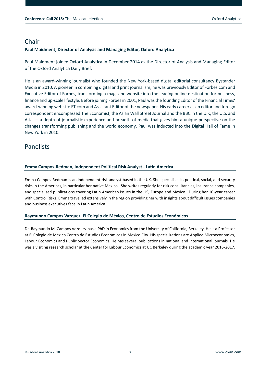## Chair

### **Paul Maidment, Director of Analysis and Managing Editor, Oxford Analytica**

Paul Maidment joined Oxford Analytica in December 2014 as the Director of Analysis and Managing Editor of the Oxford Analytica Daily Brief.

He is an award-winning journalist who founded the New York-based digital editorial consultancy Bystander Media in 2010. A pioneer in combining digital and print journalism, he was previously Editor o[f Forbes.com](http://forbes.com/) and Executive Editor of Forbes, transforming a magazine website into the leading online destination for business, finance and up-scale lifestyle. Before joining Forbes in 2001, Paul was the founding Editor of the Financial Times' award-winning web site [FT.com](http://ft.com/) and Assistant Editor of the newspaper. His early career as an editor and foreign correspondent encompassed The Economist, the Asian Wall Street Journal and the BBC in the U.K, the U.S. and Asia — a depth of journalistic experience and breadth of media that gives him a unique perspective on the changes transforming publishing and the world economy. Paul was inducted into the Digital Hall of Fame in New York in 2010.

## Panelists

#### **Emma Campos-Redman, Independent Political Risk Analyst - Latin America**

Emma Campos-Redman is an independent risk analyst based in the UK. She specialises in political, social, and security risks in the Americas, in particular her native Mexico. She writes regularly for risk consultancies, insurance companies, and specialised publications covering Latin American issues in the US, Europe and Mexico. During her 10-year career with Control Risks, Emma travelled extensively in the region providing her with insights about difficult issues companies and business executives face in Latin America

#### **Raymundo Campos Vazquez, El Colegio de México, Centro de Estudios Económicos**

Dr. Raymundo M. Campos Vazquez has a PhD in Economics from the University of California, Berkeley. He is a Professor at El Colegio de México Centro de Estudios Económicos in Mexico City. His specializations are Applied Microeconomics, Labour Economics and Public Sector Economics. He has several publications in national and international journals. He was a visiting research scholar at the Center for Labour Economics at UC Berkeley during the academic year 2016-2017.